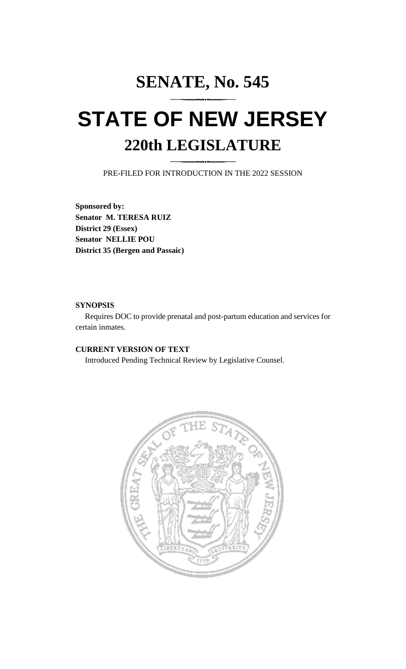## **SENATE, No. 545 STATE OF NEW JERSEY 220th LEGISLATURE**

PRE-FILED FOR INTRODUCTION IN THE 2022 SESSION

**Sponsored by: Senator M. TERESA RUIZ District 29 (Essex) Senator NELLIE POU District 35 (Bergen and Passaic)**

## **SYNOPSIS**

Requires DOC to provide prenatal and post-partum education and services for certain inmates.

## **CURRENT VERSION OF TEXT**

Introduced Pending Technical Review by Legislative Counsel.